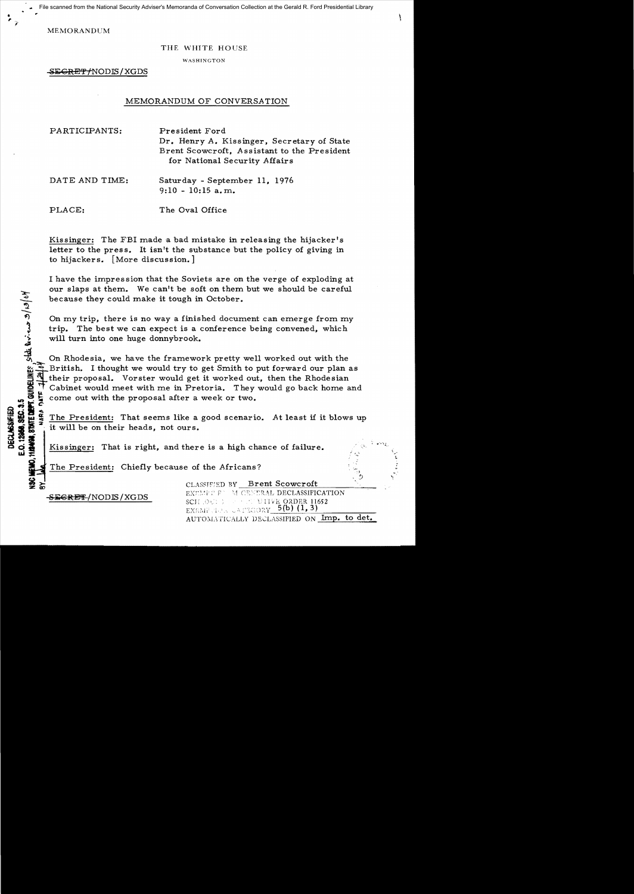$\star$ ,  $\star$ File scanned from the National Security Adviser's Memoranda of Conversation Collection at the Gerald R. Ford Presidential Library

**MEMORANDUM** 

## THE WHITE HOUSE

WASHINGTON

SEGRET/NODIS/XGDS

## MEMORANDUM OF CONVERSATION

| PARTICIPANTS:  | President Ford<br>Dr. Henry A. Kissinger, Secretary of State<br>Brent Scowcroft, Assistant to the President<br>for National Security Affairs |
|----------------|----------------------------------------------------------------------------------------------------------------------------------------------|
| DATE AND TIME: | Saturday - September 11, 1976<br>$9:10 - 10:15$ a.m.                                                                                         |
| PLACE:         | The Oval Office                                                                                                                              |

Kissinger: The FBI made a bad mistake in releasing the hijacker's letter to the press. It isn't the substance but the policy of giving in to hijackers. [More discussion.]

I have the impression that the Soviets are on the verge of exploding at our slaps at them. We can't be soft on them but we should be careful<br>because they could make it tough in October.

On my trip, there is no way a finished document can emerge from my trip. The best we can expect is a conference being convened, which will turn into one huge donnybrook.

because they could make it tough in October.<br>  $\frac{1}{2}$  On my trip, there is no way a finished docum<br>
trip. The best we can expect is a conference<br>
will turn into one huge domybrook.<br>  $\frac{1}{2}$  On Rhodesia, we have the fra On Rhodesia, we have the framework pretty well worked out with the British. I thought we would try to get Smith to put forward our plan as their proposal. Vorster would get it worked out, then the Rhodesian <sup>~</sup>Cabinet would meet with me in Pretoria. They would go back home and come out with the proposal after a week or two.

rice of the South of The President: That seems like a good scenario. At least if it blows up<br>so the it will be on their heads, not ours.<br>The south of the seems is a high chance of failure.

Kissinger: That is right, and there is a high chance of failure.

The President: Chiefly because of the Africans?

 $\frac{1}{2}$   $\approx$   $\frac{1}{2}$   $\approx$  CLASSIFIED BY Brent Scowcroft

E.O. 12968, SEC. 3.5

**112498** 

EXTMENT PUM CENTRAL DECLASSIFICATION SERE TRESPONDER ALL PROPERTION SCHEMENT SCIENCE OF A SCIENCE OF A SCIENCE ORDER LIGS 2 EXEMPRIDE CAPEGORY  $5(b)$   $(1,3)$ AUTOMATICALLY DECLASSIFIED ON Imp. to det.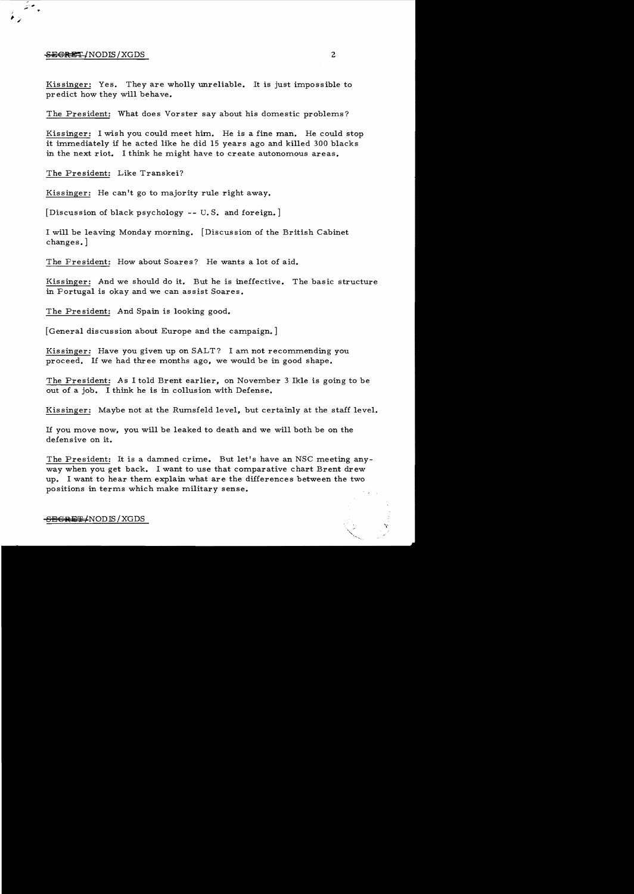## S<del>ECRET</del>/NODIS/XGDS 2

Kissinger: Yes. They are wholly unreliable. It is just impossible to predict how they will behave.

The President: What does Vorster say about his domestic problems?

Kissinger: I wish you could meet him. He is a fine man. He could stop it immediately if he acted like he did 15 years ago and killed 300 blacks in the next riot. I think he might have to create autonomous areas.

The President: Like Transkei?

Kissinger: He can't go to majority rule right away.

[Discussion of black psychology -- U. S. and foreign.]

I will be leaving Monday morning. [Discussion of the British Cabinet changes. ]

The President: How about Soares? He wants a lot of aid.

Kissinger: And we should do it. But he is ineffective. The basic structure in Portugal is okay and we can assist Soares.

The President: And Spain is looking good.

[General discussion about Europe and the campaign.]

Kissinger: Have you given up on SALT? I am not recommending you proceed. If we had three months ago, we would be in good shape.

The President: *As* I told Brent earlier, on November 3 Ikle is going to be out of a job. I think he is in collusion with Defense.

Kissinger: Maybe not at the Rumsfeld level, but certainly at the staff level.

If you move now, you will be leaked to death and we will both be on the defensive on it.

The President: It is a damned crime. But let's have an NSC meeting anyway when you get back. I want to use that comparative chart Brent drew up. I want to hear them explain what are the differences between the two positions in terms which make military sense.

## $-$ SE $-$ GRET $\neq$ NODIS / XGDS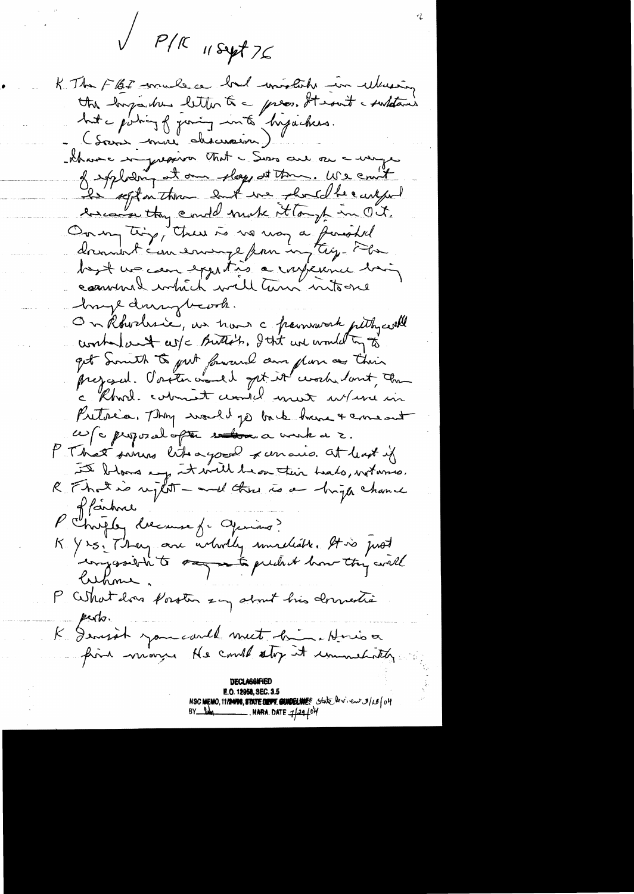$\sqrt{P/K}$  11 Sept 76

K The FBI mule a had modat in ulusing the hopesher letter te = preces. It isn't a substant (Sour mois descension) Ahave in pression that a Suro and on a winger of exploding at one plays at the We cruit encourant they could make it tough in Oct. On my tig, treu à vo moy a feriotel comment which well turn into one hays during beach. On Rhodric, un trans c parmarant pettycould combatant cut chittish, Itt we would by to get Someth to get forward am glor as their prezand. Overtu vand get it work lant, Con c Rhord. comment circul ment w/ me in Pretoca. They would go back have a come out ce c proposal optu enton a vont a 2. P. That survey like a good x un airs. at least if It blows emp it will be on their heads, withmes, R Fhot is right - and there is a high chance ffarture P christen december ( Opinions) K Yrs. Thay are arbority unreliable. It is just Cuhme P What does forsten son strut his domestic perds. K Ismit jou could meet bien Nous a E.O. 12958, SEC. 3.5 NSC MEMO, 11/24/08, 8 TATE DEPT. GUNDELINES State leview 3/13/04

 $\frac{1}{2}$ . NARA. DATE  $\frac{1}{2}$   $\frac{24}{9}$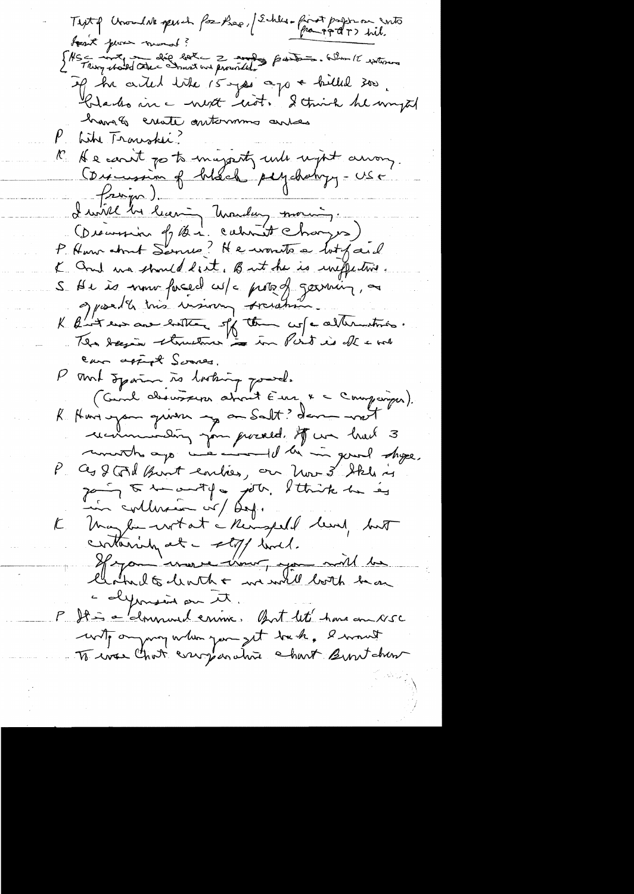Text of Convention opened for Bee, (Schles-first pager on conto trait pour mond?<br>Ils = mot, madie later = ands parties. When It without I he arted title 15 year appen billed 300. blacks in a next rest. I think he mysel have a create autonomes antes l'hitre Transkei? la He conit parts majority unh night anony.<br>Consiming his chapped perfecting - USE  $f_{z}$ ingo). I will be lier ; undan moins.<br>(Discoursion of the calment changes).<br>P. Hann about Same? He wouts a lot faid. K and we should let . But he is inffective. S He is nous forced us/c protest germin, of posed to this insuring socialism K But eux aux battar six them cus a albematives.<br>Ten dessin structure à in Part is elle avec can assist Somes. P and Sparing is lasting powel. (Count absorption about Eur, x a Companyer). K Have you given y au Salt? dans met remembre pour pour et des ses mois  $\mathcal{C}_{\mathbb{R}^+}$ paris à martifa job, l'thirt de és K Unanghamentat a Kingfeld level, but centainly at - stof lived. Il jam innere démois sur suit le - olympin on it. P It is a dominal ensuit let donc au visc with anyong when you get truth, I want